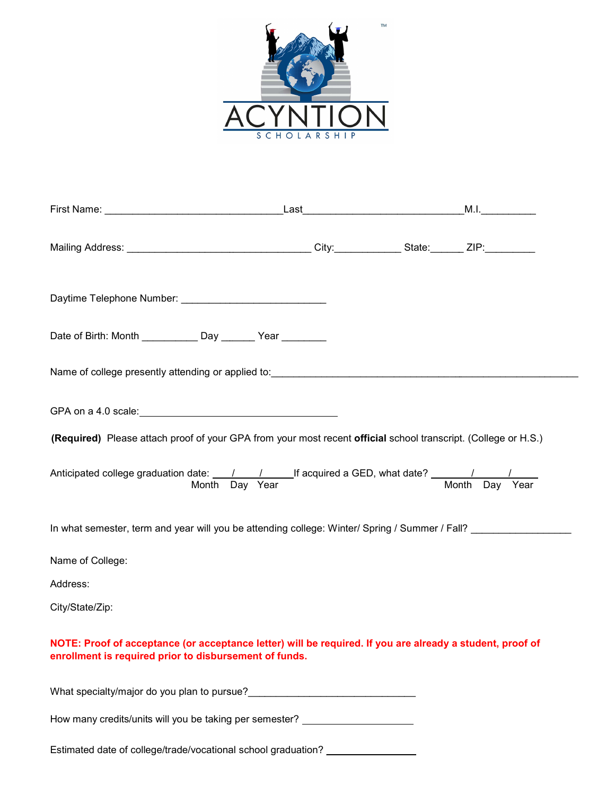

| Date of Birth: Month _____________ Day _______ Year ________                                                                                                        |  |  |
|---------------------------------------------------------------------------------------------------------------------------------------------------------------------|--|--|
|                                                                                                                                                                     |  |  |
|                                                                                                                                                                     |  |  |
| (Required) Please attach proof of your GPA from your most recent official school transcript. (College or H.S.)                                                      |  |  |
|                                                                                                                                                                     |  |  |
| In what semester, term and year will you be attending college: Winter/ Spring / Summer / Fall?                                                                      |  |  |
| Name of College:                                                                                                                                                    |  |  |
| Address:                                                                                                                                                            |  |  |
| City/State/Zip:                                                                                                                                                     |  |  |
| NOTE: Proof of acceptance (or acceptance letter) will be required. If you are already a student, proof of<br>enrollment is required prior to disbursement of funds. |  |  |
|                                                                                                                                                                     |  |  |
| How many credits/units will you be taking per semester? ________________________                                                                                    |  |  |

Estimated date of college/trade/vocational school graduation? \_\_\_\_\_\_\_\_\_\_\_\_\_\_\_\_\_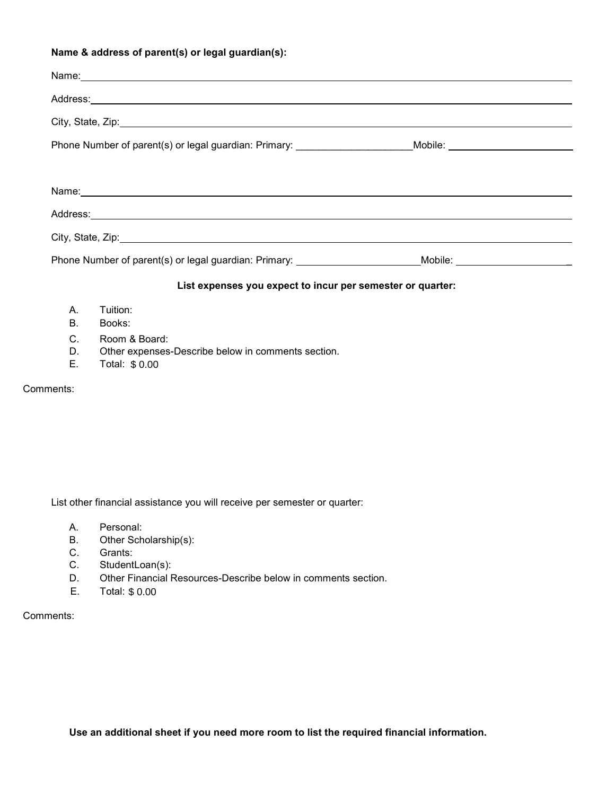# Name & address of parent(s) or legal guardian(s):

|             | Name: 2008. Alternative and the contract of the contract of the contract of the contract of the contract of the contract of the contract of the contract of the contract of the contract of the contract of the contract of th |  |
|-------------|--------------------------------------------------------------------------------------------------------------------------------------------------------------------------------------------------------------------------------|--|
|             |                                                                                                                                                                                                                                |  |
|             |                                                                                                                                                                                                                                |  |
|             | Phone Number of parent(s) or legal guardian: Primary: _______________________Mobile: _ <b>____________________</b> __                                                                                                          |  |
|             |                                                                                                                                                                                                                                |  |
|             |                                                                                                                                                                                                                                |  |
|             |                                                                                                                                                                                                                                |  |
|             |                                                                                                                                                                                                                                |  |
|             | Phone Number of parent(s) or legal guardian: Primary: __________________________Mobile: ______________________                                                                                                                 |  |
|             | List expenses you expect to incur per semester or quarter:                                                                                                                                                                     |  |
| Α.          | Tuition:                                                                                                                                                                                                                       |  |
| В.          | Books:                                                                                                                                                                                                                         |  |
| $C_{\cdot}$ | Room & Board:                                                                                                                                                                                                                  |  |
| D.          | Other expenses-Describe below in comments section.                                                                                                                                                                             |  |
| Е.          | Total: \$ 0.00                                                                                                                                                                                                                 |  |

### Comments:

List other financial assistance you will receive per semester or quarter:

- A. Personal:
- B. Other Scholarship(s):<br>C. Grants:
- C. Grants:<br>C. Student
- StudentLoan(s):
- D. Other Financial Resources-Describe below in comments section.
- E. Total: \$ 0.00

# Comments:

Use an additional sheet if you need more room to list the required financial information.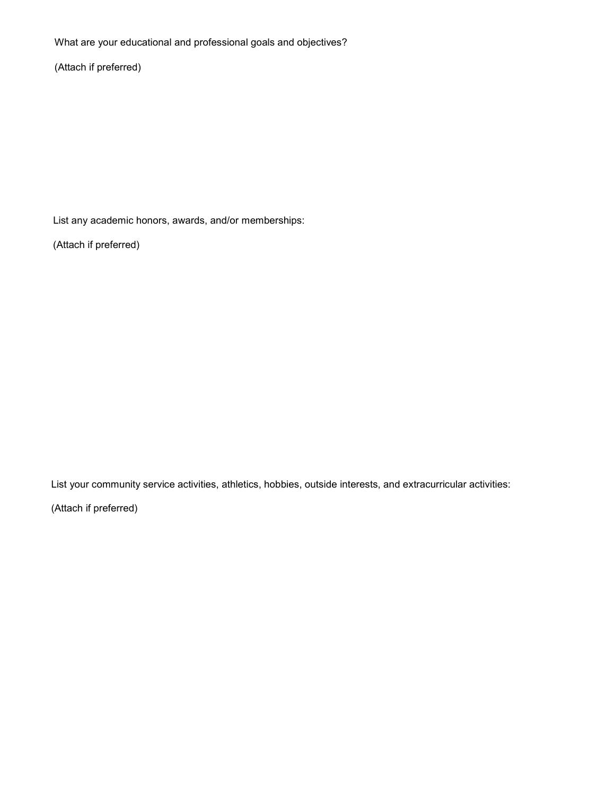What are your educational and professional goals and objectives?

(Attach if preferred)

List any academic honors, awards, and/or memberships:

(Attach if preferred)

List your community service activities, athletics, hobbies, outside interests, and extracurricular activities:

(Attach if preferred)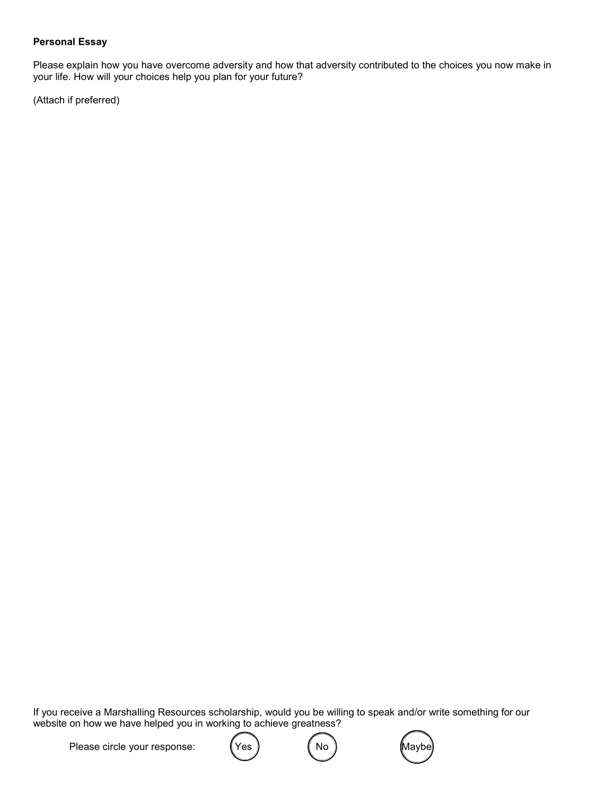#### Personal Essay

Please explain how you have overcome adversity and how that adversity contributed to the choices you now make in your life. How will your choices help you plan for your future?

(Attach if preferred)

If you receive a Marshalling Resources scholarship, would you be willing to speak and/or write something for our website on how we have helped you in working to achieve greatness?

Please circle your response:  $($  Yes  $)$   $($  No  $)$   $($  Maybe